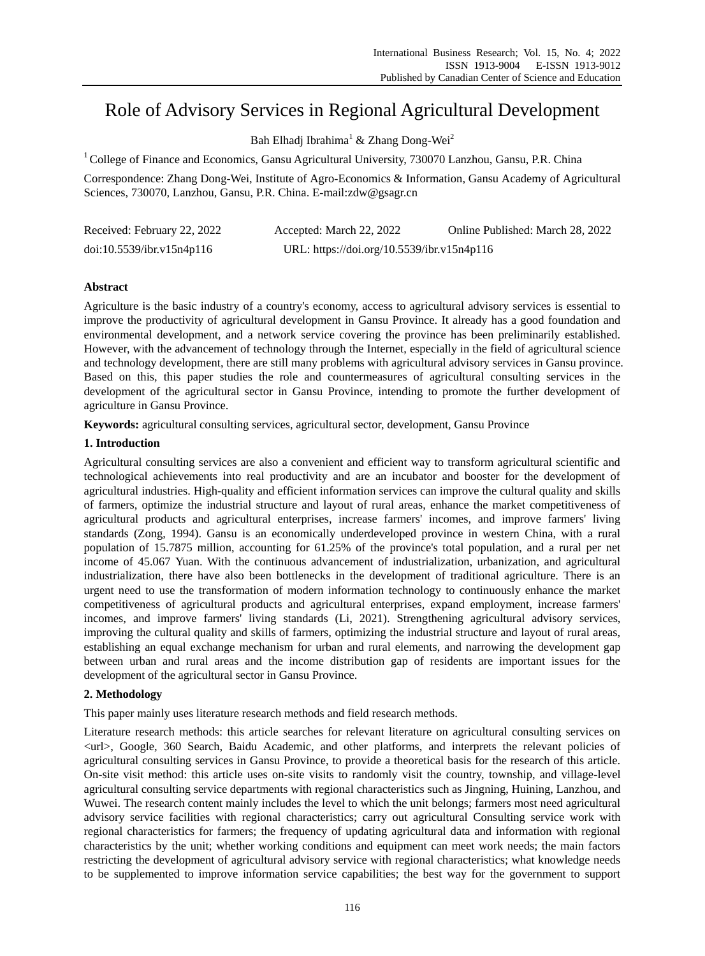# Role of Advisory Services in Regional Agricultural Development

Bah Elhadj Ibrahima<sup>1</sup> & Zhang Dong-Wei<sup>2</sup>

 $1^1$ College of Finance and Economics, Gansu Agricultural University, 730070 Lanzhou, Gansu, P.R. China

Correspondence: Zhang Dong-Wei, Institute of Agro-Economics & Information, Gansu Academy of Agricultural Sciences, 730070, Lanzhou, Gansu, P.R. China. E-mail:zdw@gsagr.cn

| Received: February 22, 2022 | Accepted: March 22, 2022                   | Online Published: March 28, 2022 |
|-----------------------------|--------------------------------------------|----------------------------------|
| doi:10.5539/ibr.v15n4p116   | URL: https://doi.org/10.5539/ibr.v15n4p116 |                                  |

# **Abstract**

Agriculture is the basic industry of a country's economy, access to agricultural advisory services is essential to improve the productivity of agricultural development in Gansu Province. It already has a good foundation and environmental development, and a network service covering the province has been preliminarily established. However, with the advancement of technology through the Internet, especially in the field of agricultural science and technology development, there are still many problems with agricultural advisory services in Gansu province. Based on this, this paper studies the role and countermeasures of agricultural consulting services in the development of the agricultural sector in Gansu Province, intending to promote the further development of agriculture in Gansu Province.

**Keywords:** agricultural consulting services, agricultural sector, development, Gansu Province

## **1. Introduction**

Agricultural consulting services are also a convenient and efficient way to transform agricultural scientific and technological achievements into real productivity and are an incubator and booster for the development of agricultural industries. High-quality and efficient information services can improve the cultural quality and skills of farmers, optimize the industrial structure and layout of rural areas, enhance the market competitiveness of agricultural products and agricultural enterprises, increase farmers' incomes, and improve farmers' living standards (Zong, 1994). Gansu is an economically underdeveloped province in western China, with a rural population of 15.7875 million, accounting for 61.25% of the province's total population, and a rural per net income of 45.067 Yuan. With the continuous advancement of industrialization, urbanization, and agricultural industrialization, there have also been bottlenecks in the development of traditional agriculture. There is an urgent need to use the transformation of modern information technology to continuously enhance the market competitiveness of agricultural products and agricultural enterprises, expand employment, increase farmers' incomes, and improve farmers' living standards (Li, 2021). Strengthening agricultural advisory services, improving the cultural quality and skills of farmers, optimizing the industrial structure and layout of rural areas, establishing an equal exchange mechanism for urban and rural elements, and narrowing the development gap between urban and rural areas and the income distribution gap of residents are important issues for the development of the agricultural sector in Gansu Province.

## **2. Methodology**

This paper mainly uses literature research methods and field research methods.

Literature research methods: this article searches for relevant literature on agricultural consulting services on <url>, Google, 360 Search, Baidu Academic, and other platforms, and interprets the relevant policies of agricultural consulting services in Gansu Province, to provide a theoretical basis for the research of this article. On-site visit method: this article uses on-site visits to randomly visit the country, township, and village-level agricultural consulting service departments with regional characteristics such as Jingning, Huining, Lanzhou, and Wuwei. The research content mainly includes the level to which the unit belongs; farmers most need agricultural advisory service facilities with regional characteristics; carry out agricultural Consulting service work with regional characteristics for farmers; the frequency of updating agricultural data and information with regional characteristics by the unit; whether working conditions and equipment can meet work needs; the main factors restricting the development of agricultural advisory service with regional characteristics; what knowledge needs to be supplemented to improve information service capabilities; the best way for the government to support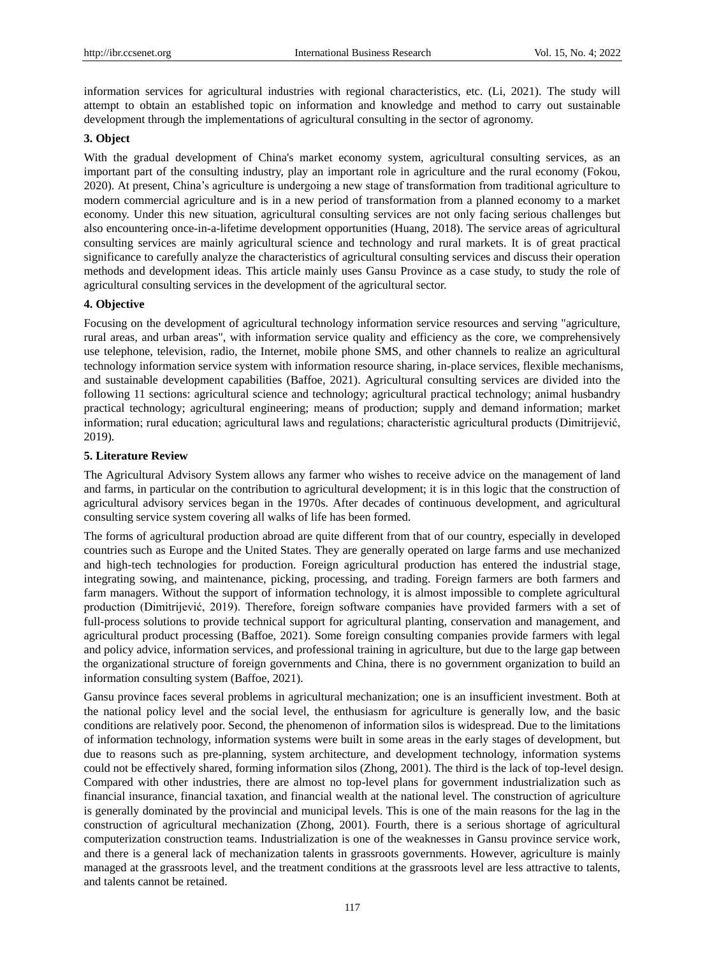information services for agricultural industries with regional characteristics, etc. (Li, 2021). The study will attempt to obtain an established topic on information and knowledge and method to carry out sustainable development through the implementations of agricultural consulting in the sector of agronomy.

# **3. Object**

With the gradual development of China's market economy system, agricultural consulting services, as an important part of the consulting industry, play an important role in agriculture and the rural economy (Fokou, 2020). At present, China's agriculture is undergoing a new stage of transformation from traditional agriculture to modern commercial agriculture and is in a new period of transformation from a planned economy to a market economy. Under this new situation, agricultural consulting services are not only facing serious challenges but also encountering once-in-a-lifetime development opportunities (Huang, 2018). The service areas of agricultural consulting services are mainly agricultural science and technology and rural markets. It is of great practical significance to carefully analyze the characteristics of agricultural consulting services and discuss their operation methods and development ideas. This article mainly uses Gansu Province as a case study, to study the role of agricultural consulting services in the development of the agricultural sector.

# **4. Objective**

Focusing on the development of agricultural technology information service resources and serving "agriculture, rural areas, and urban areas", with information service quality and efficiency as the core, we comprehensively use telephone, television, radio, the Internet, mobile phone SMS, and other channels to realize an agricultural technology information service system with information resource sharing, in-place services, flexible mechanisms, and sustainable development capabilities (Baffoe, 2021). Agricultural consulting services are divided into the following 11 sections: agricultural science and technology; agricultural practical technology; animal husbandry practical technology; agricultural engineering; means of production; supply and demand information; market information; rural education; agricultural laws and regulations; characteristic agricultural products (Dimitrijević, 2019).

# **5. Literature Review**

The Agricultural Advisory System allows any farmer who wishes to receive advice on the management of land and farms, in particular on the contribution to agricultural development; it is in this logic that the construction of agricultural advisory services began in the 1970s. After decades of continuous development, and agricultural consulting service system covering all walks of life has been formed.

The forms of agricultural production abroad are quite different from that of our country, especially in developed countries such as Europe and the United States. They are generally operated on large farms and use mechanized and high-tech technologies for production. Foreign agricultural production has entered the industrial stage, integrating sowing, and maintenance, picking, processing, and trading. Foreign farmers are both farmers and farm managers. Without the support of information technology, it is almost impossible to complete agricultural production (Dimitrijević, 2019). Therefore, foreign software companies have provided farmers with a set of full-process solutions to provide technical support for agricultural planting, conservation and management, and agricultural product processing (Baffoe, 2021). Some foreign consulting companies provide farmers with legal and policy advice, information services, and professional training in agriculture, but due to the large gap between the organizational structure of foreign governments and China, there is no government organization to build an information consulting system (Baffoe, 2021).

Gansu province faces several problems in agricultural mechanization; one is an insufficient investment. Both at the national policy level and the social level, the enthusiasm for agriculture is generally low, and the basic conditions are relatively poor. Second, the phenomenon of information silos is widespread. Due to the limitations of information technology, information systems were built in some areas in the early stages of development, but due to reasons such as pre-planning, system architecture, and development technology, information systems could not be effectively shared, forming information silos (Zhong, 2001). The third is the lack of top-level design. Compared with other industries, there are almost no top-level plans for government industrialization such as financial insurance, financial taxation, and financial wealth at the national level. The construction of agriculture is generally dominated by the provincial and municipal levels. This is one of the main reasons for the lag in the construction of agricultural mechanization (Zhong, 2001). Fourth, there is a serious shortage of agricultural computerization construction teams. Industrialization is one of the weaknesses in Gansu province service work, and there is a general lack of mechanization talents in grassroots governments. However, agriculture is mainly managed at the grassroots level, and the treatment conditions at the grassroots level are less attractive to talents, and talents cannot be retained.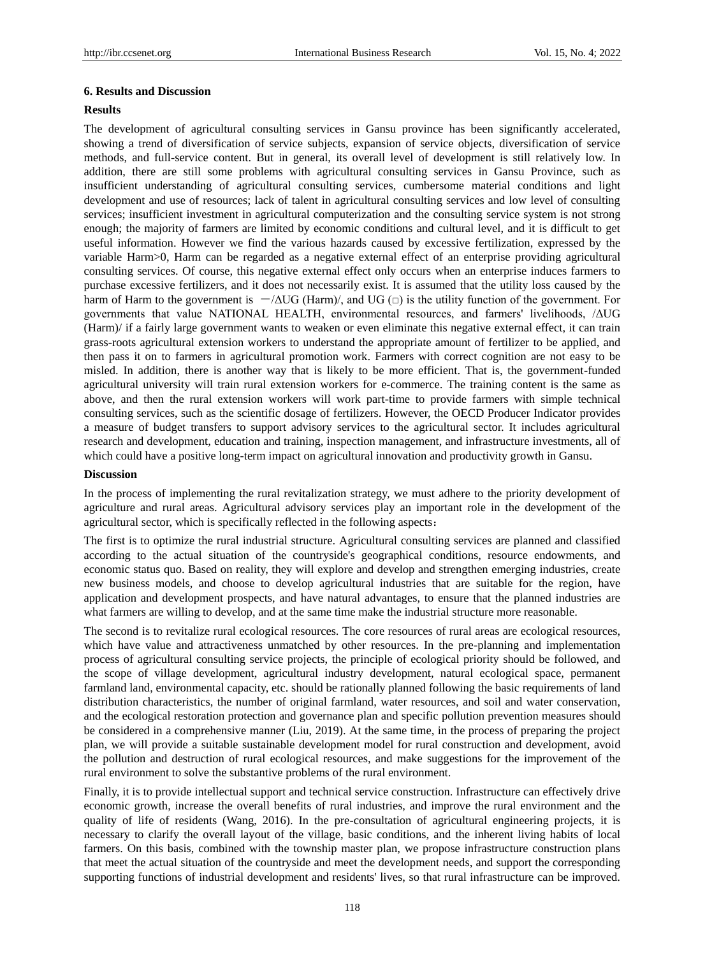#### **6. Results and Discussion**

#### **Results**

The development of agricultural consulting services in Gansu province has been significantly accelerated, showing a trend of diversification of service subjects, expansion of service objects, diversification of service methods, and full-service content. But in general, its overall level of development is still relatively low. In addition, there are still some problems with agricultural consulting services in Gansu Province, such as insufficient understanding of agricultural consulting services, cumbersome material conditions and light development and use of resources; lack of talent in agricultural consulting services and low level of consulting services; insufficient investment in agricultural computerization and the consulting service system is not strong enough; the majority of farmers are limited by economic conditions and cultural level, and it is difficult to get useful information. However we find the various hazards caused by excessive fertilization, expressed by the variable Harm>0, Harm can be regarded as a negative external effect of an enterprise providing agricultural consulting services. Of course, this negative external effect only occurs when an enterprise induces farmers to purchase excessive fertilizers, and it does not necessarily exist. It is assumed that the utility loss caused by the harm of Harm to the government is  $-\Delta UG$  (Harm), and UG ( $\Box$ ) is the utility function of the government. For governments that value NATIONAL HEALTH, environmental resources, and farmers' livelihoods, /ΔUG (Harm)/ if a fairly large government wants to weaken or even eliminate this negative external effect, it can train grass-roots agricultural extension workers to understand the appropriate amount of fertilizer to be applied, and then pass it on to farmers in agricultural promotion work. Farmers with correct cognition are not easy to be misled. In addition, there is another way that is likely to be more efficient. That is, the government-funded agricultural university will train rural extension workers for e-commerce. The training content is the same as above, and then the rural extension workers will work part-time to provide farmers with simple technical consulting services, such as the scientific dosage of fertilizers. However, the OECD Producer Indicator provides a measure of budget transfers to support advisory services to the agricultural sector. It includes agricultural research and development, education and training, inspection management, and infrastructure investments, all of which could have a positive long-term impact on agricultural innovation and productivity growth in Gansu.

#### **Discussion**

In the process of implementing the rural revitalization strategy, we must adhere to the priority development of agriculture and rural areas. Agricultural advisory services play an important role in the development of the agricultural sector, which is specifically reflected in the following aspects:

The first is to optimize the rural industrial structure. Agricultural consulting services are planned and classified according to the actual situation of the countryside's geographical conditions, resource endowments, and economic status quo. Based on reality, they will explore and develop and strengthen emerging industries, create new business models, and choose to develop agricultural industries that are suitable for the region, have application and development prospects, and have natural advantages, to ensure that the planned industries are what farmers are willing to develop, and at the same time make the industrial structure more reasonable.

The second is to revitalize rural ecological resources. The core resources of rural areas are ecological resources, which have value and attractiveness unmatched by other resources. In the pre-planning and implementation process of agricultural consulting service projects, the principle of ecological priority should be followed, and the scope of village development, agricultural industry development, natural ecological space, permanent farmland land, environmental capacity, etc. should be rationally planned following the basic requirements of land distribution characteristics, the number of original farmland, water resources, and soil and water conservation, and the ecological restoration protection and governance plan and specific pollution prevention measures should be considered in a comprehensive manner (Liu, 2019). At the same time, in the process of preparing the project plan, we will provide a suitable sustainable development model for rural construction and development, avoid the pollution and destruction of rural ecological resources, and make suggestions for the improvement of the rural environment to solve the substantive problems of the rural environment.

Finally, it is to provide intellectual support and technical service construction. Infrastructure can effectively drive economic growth, increase the overall benefits of rural industries, and improve the rural environment and the quality of life of residents (Wang, 2016). In the pre-consultation of agricultural engineering projects, it is necessary to clarify the overall layout of the village, basic conditions, and the inherent living habits of local farmers. On this basis, combined with the township master plan, we propose infrastructure construction plans that meet the actual situation of the countryside and meet the development needs, and support the corresponding supporting functions of industrial development and residents' lives, so that rural infrastructure can be improved.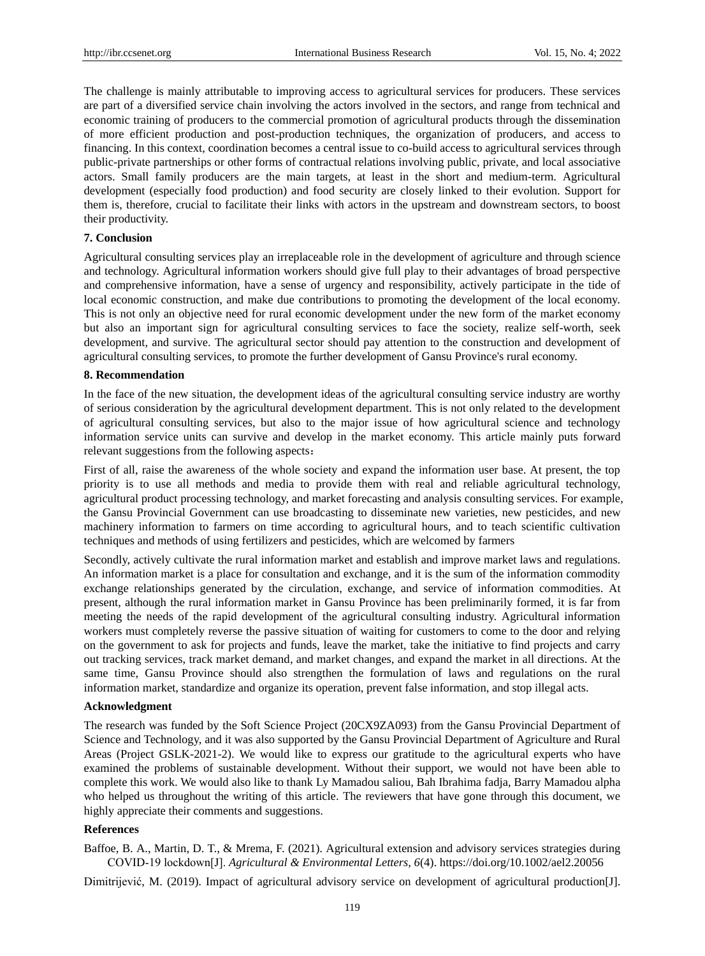The challenge is mainly attributable to improving access to agricultural services for producers. These services are part of a diversified service chain involving the actors involved in the sectors, and range from technical and economic training of producers to the commercial promotion of agricultural products through the dissemination of more efficient production and post-production techniques, the organization of producers, and access to financing. In this context, coordination becomes a central issue to co-build access to agricultural services through public-private partnerships or other forms of contractual relations involving public, private, and local associative actors. Small family producers are the main targets, at least in the short and medium-term. Agricultural development (especially food production) and food security are closely linked to their evolution. Support for them is, therefore, crucial to facilitate their links with actors in the upstream and downstream sectors, to boost their productivity.

#### **7. Conclusion**

Agricultural consulting services play an irreplaceable role in the development of agriculture and through science and technology. Agricultural information workers should give full play to their advantages of broad perspective and comprehensive information, have a sense of urgency and responsibility, actively participate in the tide of local economic construction, and make due contributions to promoting the development of the local economy. This is not only an objective need for rural economic development under the new form of the market economy but also an important sign for agricultural consulting services to face the society, realize self-worth, seek development, and survive. The agricultural sector should pay attention to the construction and development of agricultural consulting services, to promote the further development of Gansu Province's rural economy.

### **8. Recommendation**

In the face of the new situation, the development ideas of the agricultural consulting service industry are worthy of serious consideration by the agricultural development department. This is not only related to the development of agricultural consulting services, but also to the major issue of how agricultural science and technology information service units can survive and develop in the market economy. This article mainly puts forward relevant suggestions from the following aspects:

First of all, raise the awareness of the whole society and expand the information user base. At present, the top priority is to use all methods and media to provide them with real and reliable agricultural technology, agricultural product processing technology, and market forecasting and analysis consulting services. For example, the Gansu Provincial Government can use broadcasting to disseminate new varieties, new pesticides, and new machinery information to farmers on time according to agricultural hours, and to teach scientific cultivation techniques and methods of using fertilizers and pesticides, which are welcomed by farmers

Secondly, actively cultivate the rural information market and establish and improve market laws and regulations. An information market is a place for consultation and exchange, and it is the sum of the information commodity exchange relationships generated by the circulation, exchange, and service of information commodities. At present, although the rural information market in Gansu Province has been preliminarily formed, it is far from meeting the needs of the rapid development of the agricultural consulting industry. Agricultural information workers must completely reverse the passive situation of waiting for customers to come to the door and relying on the government to ask for projects and funds, leave the market, take the initiative to find projects and carry out tracking services, track market demand, and market changes, and expand the market in all directions. At the same time, Gansu Province should also strengthen the formulation of laws and regulations on the rural information market, standardize and organize its operation, prevent false information, and stop illegal acts.

#### **Acknowledgment**

The research was funded by the Soft Science Project (20CX9ZA093) from the Gansu Provincial Department of Science and Technology, and it was also supported by the Gansu Provincial Department of Agriculture and Rural Areas (Project GSLK-2021-2). We would like to express our gratitude to the agricultural experts who have examined the problems of sustainable development. Without their support, we would not have been able to complete this work. We would also like to thank Ly Mamadou saliou, Bah Ibrahima fadja, Barry Mamadou alpha who helped us throughout the writing of this article. The reviewers that have gone through this document, we highly appreciate their comments and suggestions.

## **References**

Baffoe, B. A., Martin, D. T., & Mrema, F. (2021). Agricultural extension and advisory services strategies during COVID‐19 lockdown[J]. *Agricultural & Environmental Letters, 6*(4). https://doi.org/10.1002/ael2.20056

Dimitrijević, M. (2019). Impact of agricultural advisory service on development of agricultural production[J].